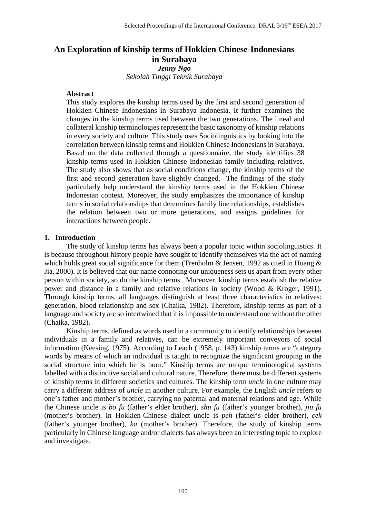# **An Exploration of kinship terms of Hokkien Chinese-Indonesians in Surabaya** *Jenny Ngo*

*Sekolah Tinggi Teknik Surabaya*

# **Abstract**

This study explores the kinship terms used by the first and second generation of Hokkien Chinese Indonesians in Surabaya Indonesia. It further examines the changes in the kinship terms used between the two generations. The lineal and collateral kinship terminologies represent the basic taxonomy of kinship relations in every society and culture. This study uses Sociolinguistics by looking into the correlation between kinship terms and Hokkien Chinese Indonesians in Surabaya. Based on the data collected through a questionnaire, the study identifies 38 kinship terms used in Hokkien Chinese Indonesian family including relatives. The study also shows that as social conditions change, the kinship terms of the first and second generation have slightly changed. The findings of the study particularly help understand the kinship terms used in the Hokkien Chinese Indonesian context. Moreover, the study emphasizes the importance of kinship terms in social relationships that determines family line relationships, establishes the relation between two or more generations, and assigns guidelines for interactions between people.

## **1. Introduction**

The study of kinship terms has always been a popular topic within sociolinguistics. It is because throughout history people have sought to identify themselves via the act of naming which holds great social significance for them (Trenholm & Jensen, 1992 as cited in Huang & Jia, 2000). It is believed that our name connoting our uniqueness sets us apart from every other person within society, so do the kinship terms. Moreover, kinship terms establish the relative power and distance in a family and relative relations in society (Wood & Kroger, 1991). Through kinship terms, all languages distinguish at least three characteristics in relatives: generation, blood relationship and sex (Chaika, 1982). Therefore, kinship terms as part of a language and society are so intertwined that it is impossible to understand one without the other (Chaika, 1982).

Kinship terms, defined as words used in a community to identify relationships between individuals in a family and relatives, can be extremely important conveyors of social information (Keesing, 1975). According to Leach (1958, p. 143) kinship terms are "category words by means of which an individual is taught to recognize the significant grouping in the social structure into which he is born." Kinship terms are unique terminological systems labelled with a distinctive social and cultural nature. Therefore, there must be different systems of kinship terms in different societies and cultures. The kinship term *uncle* in one culture may carry a different address of *uncle* in another culture. For example, the English *uncle* refers to one's father and mother's brother, carrying no paternal and maternal relations and age. While the Chinese uncle is *bo fu* (father's elder brother), *shu fu* (father's younger brother), *jiu fu* (mother's brother). In Hokkien-Chinese dialect uncle is *peh* (father's elder brother), *cek* (father's younger brother), *ku* (mother's brother). Therefore, the study of kinship terms particularly in Chinese language and/or dialects has always been an interesting topic to explore and investigate.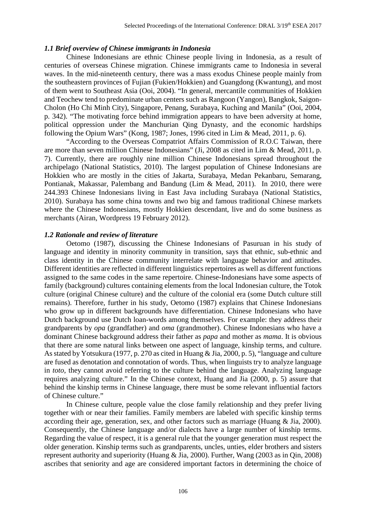#### *1.1 Brief overview of Chinese immigrants in Indonesia*

Chinese Indonesians are ethnic Chinese people living in Indonesia, as a result of centuries of overseas Chinese migration. Chinese immigrants came to Indonesia in several waves. In the mid-nineteenth century, there was a mass exodus Chinese people mainly from the southeastern provinces of Fujian (Fukien/Hokkien) and Guangdong (Kwantung), and most of them went to Southeast Asia (Ooi, 2004). "In general, mercantile communities of Hokkien and Teochew tend to predominate urban centers such as Rangoon (Yangon), Bangkok, Saigon-Cholon (Ho Chi Minh City), Singapore, Penang, Surabaya, Kuching and Manila" (Ooi, 2004, p. 342). "The motivating force behind immigration appears to have been adversity at home, political oppression under the Manchurian Qing Dynasty, and the economic hardships following the Opium Wars" (Kong, 1987; Jones, 1996 cited in Lim & Mead, 2011, p. 6).

"According to the Overseas Compatriot Affairs Commission of R.O.C Taiwan, there are more than seven million Chinese Indonesians" (Ji, 2008 as cited in Lim & Mead, 2011, p. 7). Currently, there are roughly nine million Chinese Indonesians spread throughout the archipelago (National Statistics, 2010). The largest population of Chinese Indonesians are Hokkien who are mostly in the cities of Jakarta, Surabaya, Medan Pekanbaru, Semarang, Pontianak, Makassar, Palembang and Bandung (Lim & Mead, 2011). In 2010, there were 244.393 Chinese Indonesians living in East Java including Surabaya (National Statistics, 2010). Surabaya has some china towns and two big and famous traditional Chinese markets where the Chinese Indonesians, mostly Hokkien descendant, live and do some business as merchants (Airan, Wordpress 19 February 2012).

## *1.2 Rationale and review of literature*

Oetomo (1987), discussing the Chinese Indonesians of Pasuruan in his study of language and identity in minority community in transition, says that ethnic, sub-ethnic and class identity in the Chinese community interrelate with language behavior and attitudes. Different identities are reflected in different linguistics repertoires as well as different functions assigned to the same codes in the same repertoire. Chinese-Indonesians have some aspects of family (background) cultures containing elements from the local Indonesian culture, the Totok culture (original Chinese culture) and the culture of the colonial era (some Dutch culture still remains). Therefore, further in his study, Oetomo (1987) explains that Chinese Indonesians who grow up in different backgrounds have differentiation. Chinese Indonesians who have Dutch background use Dutch loan-words among themselves. For example: they address their grandparents by *opa* (grandfather) and *oma* (grandmother). Chinese Indonesians who have a dominant Chinese background address their father as *papa* and mother as *mama*. It is obvious that there are some natural links between one aspect of language, kinship terms, and culture. As stated by Yotsukura (1977, p. 270 as cited in Huang & Jia, 2000, p. 5), "language and culture are fused as denotation and connotation of words. Thus, when linguists try to analyze language in *toto*, they cannot avoid referring to the culture behind the language. Analyzing language requires analyzing culture." In the Chinese context, Huang and Jia (2000, p. 5) assure that behind the kinship terms in Chinese language, there must be some relevant influential factors of Chinese culture."

In Chinese culture, people value the close family relationship and they prefer living together with or near their families. Family members are labeled with specific kinship terms according their age, generation, sex, and other factors such as marriage (Huang & Jia, 2000). Consequently, the Chinese language and/or dialects have a large number of kinship terms. Regarding the value of respect, it is a general rule that the younger generation must respect the older generation. Kinship terms such as grandparents, uncles, unties, elder brothers and sisters represent authority and superiority (Huang & Jia, 2000). Further, Wang (2003 as in Qin, 2008) ascribes that seniority and age are considered important factors in determining the choice of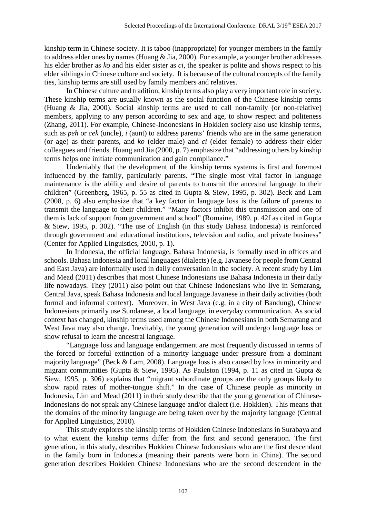kinship term in Chinese society. It is taboo (inappropriate) for younger members in the family to address elder ones by names (Huang & Jia, 2000). For example, a younger brother addresses his elder brother as *ko* and his elder sister as *ci*, the speaker is polite and shows respect to his elder siblings in Chinese culture and society. It is because of the cultural concepts of the family ties, kinship terms are still used by family members and relatives.

In Chinese culture and tradition, kinship terms also play a very important role in society. These kinship terms are usually known as the social function of the Chinese kinship terms (Huang & Jia, 2000). Social kinship terms are used to call non-family (or non-relative) members, applying to any person according to sex and age, to show respect and politeness (Zhang, 2011). For example, Chinese-Indonesians in Hokkien society also use kinship terms, such as *peh* or *cek* (uncle), *i* (aunt) to address parents' friends who are in the same generation (or age) as their parents, and *ko* (elder male) and *ci* (elder female) to address their elder colleagues and friends. Huang and Jia (2000, p. 7) emphasize that "addressing others by kinship terms helps one initiate communication and gain compliance."

Undeniably that the development of the kinship terms systems is first and foremost influenced by the family, particularly parents. "The single most vital factor in language maintenance is the ability and desire of parents to transmit the ancestral language to their children" (Greenberg, 1965, p. 55 as cited in Gupta & Siew, 1995, p. 302). Beck and Lam (2008, p. 6) also emphasize that "a key factor in language loss is the failure of parents to transmit the language to their children." "Many factors inhibit this transmission and one of them is lack of support from government and school" (Romaine, 1989, p. 42f as cited in Gupta & Siew, 1995, p. 302). "The use of English (in this study Bahasa Indonesia) is reinforced through government and educational institutions, television and radio, and private business" (Center for Applied Linguistics, 2010, p. 1).

In Indonesia, the official language, Bahasa Indonesia, is formally used in offices and schools. Bahasa Indonesia and local languages (dialects) (e.g. Javanese for people from Central and East Java) are informally used in daily conversation in the society. A recent study by Lim and Mead (2011) describes that most Chinese Indonesians use Bahasa Indonesia in their daily life nowadays. They (2011) also point out that Chinese Indonesians who live in Semarang, Central Java, speak Bahasa Indonesia and local language Javanese in their daily activities (both formal and informal context). Moreover, in West Java (e.g. in a city of Bandung), Chinese Indonesians primarily use Sundanese, a local language, in everyday communication. As social context has changed, kinship terms used among the Chinese Indonesians in both Semarang and West Java may also change. Inevitably, the young generation will undergo language loss or show refusal to learn the ancestral language.

"Language loss and language endangerment are most frequently discussed in terms of the forced or forceful extinction of a minority language under pressure from a dominant majority language" (Beck & Lam, 2008). Language loss is also caused by loss in minority and migrant communities (Gupta & Siew, 1995). As Paulston (1994, p. 11 as cited in Gupta & Siew, 1995, p. 306) explains that "migrant subordinate groups are the only groups likely to show rapid rates of mother-tongue shift." In the case of Chinese people as minority in Indonesia, Lim and Mead (2011) in their study describe that the young generation of Chinese-Indonesians do not speak any Chinese language and/or dialect (i.e. Hokkien). This means that the domains of the minority language are being taken over by the majority language (Central for Applied Linguistics, 2010).

This study explores the kinship terms of Hokkien Chinese Indonesians in Surabaya and to what extent the kinship terms differ from the first and second generation. The first generation, in this study, describes Hokkien Chinese Indonesians who are the first descendant in the family born in Indonesia (meaning their parents were born in China). The second generation describes Hokkien Chinese Indonesians who are the second descendent in the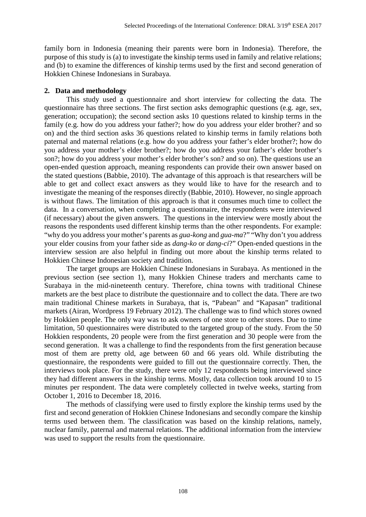family born in Indonesia (meaning their parents were born in Indonesia). Therefore, the purpose of this study is (a) to investigate the kinship terms used in family and relative relations; and (b) to examine the differences of kinship terms used by the first and second generation of Hokkien Chinese Indonesians in Surabaya.

# **2. Data and methodology**

This study used a questionnaire and short interview for collecting the data. The questionnaire has three sections. The first section asks demographic questions (e.g. age, sex, generation; occupation); the second section asks 10 questions related to kinship terms in the family (e.g. how do you address your father?; how do you address your elder brother? and so on) and the third section asks 36 questions related to kinship terms in family relations both paternal and maternal relations (e.g. how do you address your father's elder brother?; how do you address your mother's elder brother?; how do you address your father's elder brother's son?; how do you address your mother's elder brother's son? and so on). The questions use an open-ended question approach, meaning respondents can provide their own answer based on the stated questions (Babbie, 2010). The advantage of this approach is that researchers will be able to get and collect exact answers as they would like to have for the research and to investigate the meaning of the responses directly (Babbie, 2010). However, no single approach is without flaws. The limitation of this approach is that it consumes much time to collect the data. In a conversation, when completing a questionnaire, the respondents were interviewed (if necessary) about the given answers. The questions in the interview were mostly about the reasons the respondents used different kinship terms than the other respondents. For example: "why do you address your mother's parents as *gua-kong* and *gua-ma*?" "Why don't you address your elder cousins from your father side as *dang-ko* or *dang-ci*?" Open-ended questions in the interview session are also helpful in finding out more about the kinship terms related to Hokkien Chinese Indonesian society and tradition.

The target groups are Hokkien Chinese Indonesians in Surabaya. As mentioned in the previous section (see section 1), many Hokkien Chinese traders and merchants came to Surabaya in the mid-nineteenth century. Therefore, china towns with traditional Chinese markets are the best place to distribute the questionnaire and to collect the data. There are two main traditional Chinese markets in Surabaya, that is, "Pabean" and "Kapasan" traditional markets (Airan, Wordpress 19 February 2012). The challenge was to find which stores owned by Hokkien people. The only way was to ask owners of one store to other stores. Due to time limitation, 50 questionnaires were distributed to the targeted group of the study. From the 50 Hokkien respondents, 20 people were from the first generation and 30 people were from the second generation. It was a challenge to find the respondents from the first generation because most of them are pretty old, age between 60 and 66 years old. While distributing the questionnaire, the respondents were guided to fill out the questionnaire correctly. Then, the interviews took place. For the study, there were only 12 respondents being interviewed since they had different answers in the kinship terms. Mostly, data collection took around 10 to 15 minutes per respondent. The data were completely collected in twelve weeks, starting from October 1, 2016 to December 18, 2016.

The methods of classifying were used to firstly explore the kinship terms used by the first and second generation of Hokkien Chinese Indonesians and secondly compare the kinship terms used between them. The classification was based on the kinship relations, namely, nuclear family, paternal and maternal relations. The additional information from the interview was used to support the results from the questionnaire.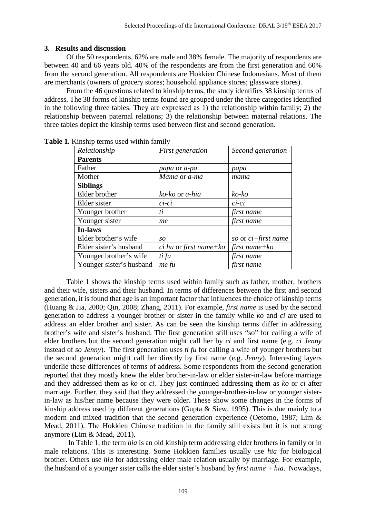#### **3. Results and discussion**

Of the 50 respondents, 62% are male and 38% female. The majority of respondents are between 40 and 66 years old. 40% of the respondents are from the first generation and 60% from the second generation. All respondents are Hokkien Chinese Indonesians. Most of them are merchants (owners of grocery stores; household appliance stores; glassware stores).

From the 46 questions related to kinship terms, the study identifies 38 kinship terms of address. The 38 forms of kinship terms found are grouped under the three categories identified in the following three tables. They are expressed as 1) the relationship within family; 2) the relationship between paternal relations; 3) the relationship between maternal relations. The three tables depict the kinship terms used between first and second generation.

| Relationship             | First generation         | Second generation      |
|--------------------------|--------------------------|------------------------|
| <b>Parents</b>           |                          |                        |
| Father                   | papa or a-pa             | papa                   |
| Mother                   | Mama or a-ma             | mama                   |
| <b>Siblings</b>          |                          |                        |
| Elder brother            | ko-ko or a-hia           | ko-ko                  |
| Elder sister             | $ci$ - $ci$              | $ci$ - $ci$            |
| Younger brother          | ti                       | first name             |
| Younger sister           | me                       | first name             |
| <b>In-laws</b>           |                          |                        |
| Elder brother's wife     | SO                       | so or $ci$ +first name |
| Elder sister's husband   | $ci$ hu or first name+ko | first name $+ ko$      |
| Younger brother's wife   | ti fu                    | first name             |
| Younger sister's husband | me fu                    | first name             |

**Table 1.** Kinship terms used within family

Table 1 shows the kinship terms used within family such as father, mother, brothers and their wife, sisters and their husband. In terms of differences between the first and second generation, it is found that age is an important factor that influences the choice of kinship terms (Huang & Jia, 2000; Qin, 2008; Zhang, 2011). For example, *first name* is used by the second generation to address a younger brother or sister in the family while *ko* and *ci* are used to address an elder brother and sister. As can be seen the kinship terms differ in addressing brother's wife and sister's husband. The first generation still uses "so" for calling a wife of elder brothers but the second generation might call her by *ci* and first name (e.g. *ci Jenny* instead of *so Jenny*). The first generation uses *ti fu* for calling a wife of younger brothers but the second generation might call her directly by first name (e.g. *Jenny*). Interesting layers underlie these differences of terms of address. Some respondents from the second generation reported that they mostly knew the elder brother-in-law or elder sister-in-law before marriage and they addressed them as *ko* or *ci*. They just continued addressing them as *ko* or *ci* after marriage. Further, they said that they addressed the younger-brother-in-law or younger sisterin-law as his/her name because they were older. These show some changes in the forms of kinship address used by different generations (Gupta & Siew, 1995). This is due mainly to a modern and mixed tradition that the second generation experience (Oetomo, 1987; Lim & Mead, 2011). The Hokkien Chinese tradition in the family still exists but it is not strong anymore (Lim & Mead, 2011).

In Table 1, the term *hia* is an old kinship term addressing elder brothers in family or in male relations. This is interesting. Some Hokkien families usually use *hia* for biological brother. Others use *hia* for addressing elder male relation usually by marriage. For example, the husband of a younger sister calls the elder sister's husband by *first name + hia*. Nowadays,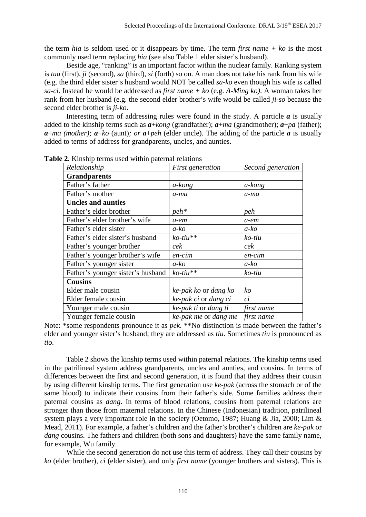the term *hia* is seldom used or it disappears by time. The term *first name + ko* is the most commonly used term replacing *hia* (see also Table 1 elder sister's husband).

Beside age, "ranking" is an important factor within the nuclear family. Ranking system is *tua* (first), *ji* (second), *sa* (third), *si* (forth) so on. A man does not take his rank from his wife (e.g. the third elder sister's husband would NOT be called *sa-ko* even though his wife is called *sa-ci*. Instead he would be addressed as *first name + ko* (e.g. *A-Ming ko)*. A woman takes her rank from her husband (e.g. the second elder brother's wife would be called *ji-so* because the second elder brother is *ji-ko*.

Interesting term of addressing rules were found in the study. A particle *a* is usually added to the kinship terms such as *a*+*kong* (grandfather); *a*+*ma* (grandmother); *a*+*pa* (father); *a*+*ma* (*mother*);  $a + k$ *o* (aunt); *or*  $a + peh$  (elder uncle). The adding of the particle *a* is usually added to terms of address for grandparents, uncles, and aunties.

| Relationship                      | First generation     | Second generation |
|-----------------------------------|----------------------|-------------------|
| <b>Grandparents</b>               |                      |                   |
| Father's father                   | a-kong               | a-kong            |
| Father's mother                   | $a$ -ma              | a-ma              |
| <b>Uncles and aunties</b>         |                      |                   |
| Father's elder brother            | $peh*$               | peh               |
| Father's elder brother's wife     | $a$ -e $m$           | $a$ -em           |
| Father's elder sister             | a-ko                 | a-ko              |
| Father's elder sister's husband   | $ko$ -tiu**          | ko-tiu            |
| Father's younger brother          | cek                  | cek               |
| Father's younger brother's wife   | en-cim               | $en-cim$          |
| Father's younger sister           | $a-ko$               | a-ko              |
| Father's younger sister's husband | $ko$ -tiu**          | ko-tiu            |
| <b>Cousins</b>                    |                      |                   |
| Elder male cousin                 | ke-pak ko or dang ko | ko                |
| Elder female cousin               | ke-pak ci or dang ci | ci                |
| Younger male cousin               | ke-pak ti or dang ti | first name        |
| Younger female cousin             | ke-pak me or dang me | first name        |

**Table 2.** Kinship terms used within paternal relations

Note: \*some respondents pronounce it as *pek*. \*\*No distinction is made between the father's elder and younger sister's husband; they are addressed as *tiu*. Sometimes *tiu* is pronounced as *tio*.

Table 2 shows the kinship terms used within paternal relations. The kinship terms used in the patrilineal system address grandparents, uncles and aunties, and cousins. In terms of differences between the first and second generation, it is found that they address their cousin by using different kinship terms. The first generation use *ke-pak* (across the stomach or of the same blood) to indicate their cousins from their father's side. Some families address their paternal cousins as *dang*. In terms of blood relations, cousins from paternal relations are stronger than those from maternal relations. In the Chinese (Indonesian) tradition, patrilineal system plays a very important role in the society (Oetomo, 1987; Huang & Jia, 2000; Lim & Mead, 2011). For example, a father's children and the father's brother's children are *ke-pak* or *dang* cousins. The fathers and children (both sons and daughters) have the same family name, for example, Wu family.

While the second generation do not use this term of address. They call their cousins by *ko* (elder brother), *ci* (elder sister), and only *first name* (younger brothers and sisters). This is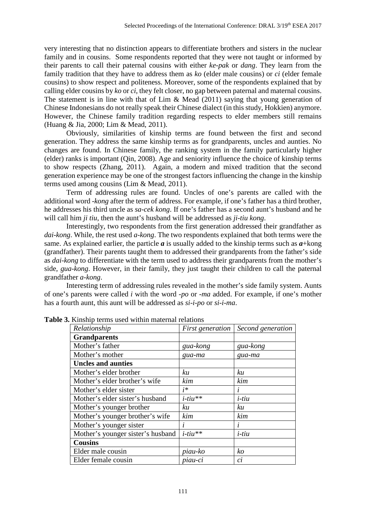very interesting that no distinction appears to differentiate brothers and sisters in the nuclear family and in cousins. Some respondents reported that they were not taught or informed by their parents to call their paternal cousins with either *ke-pak* or *dang*. They learn from the family tradition that they have to address them as *ko* (elder male cousins) or *ci* (elder female cousins) to show respect and politeness. Moreover, some of the respondents explained that by calling elder cousins by *ko* or *ci*, they felt closer, no gap between paternal and maternal cousins. The statement is in line with that of Lim & Mead  $(2011)$  saying that young generation of Chinese Indonesians do not really speak their Chinese dialect (in this study, Hokkien) anymore. However, the Chinese family tradition regarding respects to elder members still remains (Huang & Jia, 2000; Lim & Mead, 2011).

Obviously, similarities of kinship terms are found between the first and second generation. They address the same kinship terms as for grandparents, uncles and aunties. No changes are found. In Chinese family, the ranking system in the family particularly higher (elder) ranks is important (Qin, 2008). Age and seniority influence the choice of kinship terms to show respects (Zhang, 2011). Again, a modern and mixed tradition that the second generation experience may be one of the strongest factors influencing the change in the kinship terms used among cousins (Lim & Mead, 2011).

Term of addressing rules are found. Uncles of one's parents are called with the additional word -*kong* after the term of address. For example, if one's father has a third brother, he addresses his third uncle as *sa-cek kong*. If one's father has a second aunt's husband and he will call him *ji tiu*, then the aunt's husband will be addressed as *ji-tiu kong*.

Interestingly, two respondents from the first generation addressed their grandfather as *dai-kong*. While, the rest used *a-kong*. The two respondents explained that both terms were the same. As explained earlier, the particle  $\boldsymbol{a}$  is usually added to the kinship terms such as  $\boldsymbol{a}$ +kong (grandfather). Their parents taught them to addressed their grandparents from the father's side as *dai-kong* to differentiate with the term used to address their grandparents from the mother's side, *gua-kong*. However, in their family, they just taught their children to call the paternal grandfather *a-kong*.

Interesting term of addressing rules revealed in the mother's side family system. Aunts of one's parents were called *i* with the word -*po* or *-ma* added. For example, if one's mother has a fourth aunt, this aunt will be addressed as *si-i-po* or *si-i-ma*.

| Relationship                      | First generation | Second generation |
|-----------------------------------|------------------|-------------------|
| <b>Grandparents</b>               |                  |                   |
| Mother's father                   | gua-kong         | gua-kong          |
| Mother's mother                   | gua-ma           | gua-ma            |
| <b>Uncles and aunties</b>         |                  |                   |
| Mother's elder brother            | kи               | kи                |
| Mother's elder brother's wife     | kim              | kim               |
| Mother's elder sister             | $i^*$            | i                 |
| Mother's elder sister's husband   | $i$ -tiu**       | $i$ -tiu          |
| Mother's younger brother          | ku               | ku                |
| Mother's younger brother's wife   | kim              | kim               |
| Mother's younger sister           | $\mathbf{I}$     | i                 |
| Mother's younger sister's husband | $i$ -tiu**       | $i$ -tiu          |
| <b>Cousins</b>                    |                  |                   |
| Elder male cousin                 | piau-ko          | ko                |
| Elder female cousin               | piau-ci          | $\overline{c}i$   |

**Table 3.** Kinship terms used within maternal relations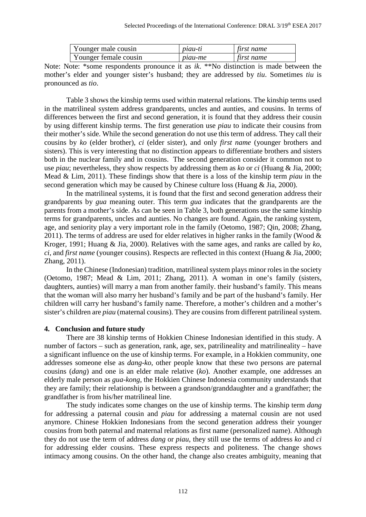| Younger male cousin   | <i>piau-ti</i> | first name |
|-----------------------|----------------|------------|
| Younger female cousin | <i>piau-me</i> | first name |

Note: Note: \*some respondents pronounce it as *ik*. \*\*No distinction is made between the mother's elder and younger sister's husband; they are addressed by *tiu*. Sometimes *tiu* is pronounced as *tio*.

Table 3 shows the kinship terms used within maternal relations. The kinship terms used in the matrilineal system address grandparents, uncles and aunties, and cousins. In terms of differences between the first and second generation, it is found that they address their cousin by using different kinship terms. The first generation use *piau* to indicate their cousins from their mother's side. While the second generation do not use this term of address. They call their cousins by *ko* (elder brother), *ci* (elder sister), and only *first name* (younger brothers and sisters). This is very interesting that no distinction appears to differentiate brothers and sisters both in the nuclear family and in cousins. The second generation consider it common not to use *piau*; nevertheless, they show respects by addressing them as *ko* or *ci* (Huang & Jia, 2000; Mead & Lim, 2011). These findings show that there is a loss of the kinship term *piau* in the second generation which may be caused by Chinese culture loss (Huang & Jia, 2000).

In the matrilineal systems, it is found that the first and second generation address their grandparents by *gua* meaning outer. This term *gua* indicates that the grandparents are the parents from a mother's side. As can be seen in Table 3, both generations use the same kinship terms for grandparents, uncles and aunties. No changes are found. Again, the ranking system, age, and seniority play a very important role in the family (Oetomo, 1987; Qin, 2008; Zhang, 2011). The terms of address are used for elder relatives in higher ranks in the family (Wood  $\&$ Kroger, 1991; Huang & Jia, 2000). Relatives with the same ages, and ranks are called by *ko*, *ci*, and *first name* (younger cousins). Respects are reflected in this context (Huang & Jia, 2000; Zhang, 2011).

In the Chinese (Indonesian) tradition, matrilineal system plays minor roles in the society (Oetomo, 1987; Mead & Lim, 2011; Zhang, 2011). A woman in one's family (sisters, daughters, aunties) will marry a man from another family. their husband's family. This means that the woman will also marry her husband's family and be part of the husband's family. Her children will carry her husband's family name. Therefore, a mother's children and a mother's sister's children are *piau* (maternal cousins). They are cousins from different patrilineal system.

## **4. Conclusion and future study**

There are 38 kinship terms of Hokkien Chinese Indonesian identified in this study. A number of factors – such as generation, rank, age, sex, patrilineality and matrilineality – have a significant influence on the use of kinship terms. For example, in a Hokkien community, one addresses someone else as *dang-ko*, other people know that these two persons are paternal cousins (*dang*) and one is an elder male relative (*ko*). Another example, one addresses an elderly male person as *gua-kong*, the Hokkien Chinese Indonesia community understands that they are family; their relationship is between a grandson/granddaughter and a grandfather; the grandfather is from his/her matrilineal line.

The study indicates some changes on the use of kinship terms. The kinship term *dang* for addressing a paternal cousin and *piau* for addressing a maternal cousin are not used anymore. Chinese Hokkien Indonesians from the second generation address their younger cousins from both paternal and maternal relations as first name (personalized name). Although they do not use the term of address *dang* or *piau*, they still use the terms of address *ko* and *ci* for addressing elder cousins. These express respects and politeness. The change shows intimacy among cousins. On the other hand, the change also creates ambiguity, meaning that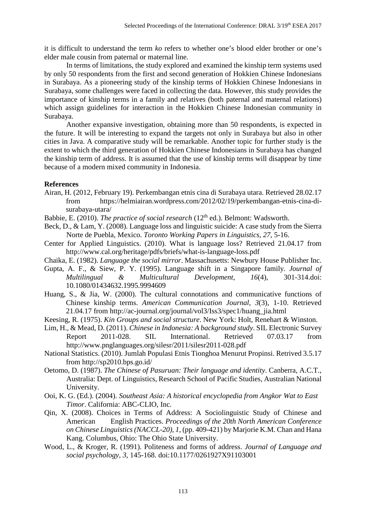it is difficult to understand the term *ko* refers to whether one's blood elder brother or one's elder male cousin from paternal or maternal line.

In terms of limitations, the study explored and examined the kinship term systems used by only 50 respondents from the first and second generation of Hokkien Chinese Indonesians in Surabaya. As a pioneering study of the kinship terms of Hokkien Chinese Indonesians in Surabaya, some challenges were faced in collecting the data. However, this study provides the importance of kinship terms in a family and relatives (both paternal and maternal relations) which assign guidelines for interaction in the Hokkien Chinese Indonesian community in Surabaya.

Another expansive investigation, obtaining more than 50 respondents, is expected in the future. It will be interesting to expand the targets not only in Surabaya but also in other cities in Java. A comparative study will be remarkable. Another topic for further study is the extent to which the third generation of Hokkien Chinese Indonesians in Surabaya has changed the kinship term of address. It is assumed that the use of kinship terms will disappear by time because of a modern mixed community in Indonesia.

## **References**

- Airan, H. (2012, February 19). Perkembangan etnis cina di Surabaya utara. Retrieved 28.02.17 from https://helmiairan.wordpress.com/2012/02/19/perkembangan-etnis-cina-disurabaya-utara/
- Babbie, E. (2010). *The practice of social research* (12<sup>th</sup> ed.). Belmont: Wadsworth.
- Beck, D., & Lam, Y. (2008). Language loss and linguistic suicide: A case study from the Sierra Norte de Puebla, Mexico. *Toronto Working Papers in Linguistics, 27*, 5-16.
- Center for Applied Linguistics. (2010). What is language loss? Retrieved 21.04.17 from http://www.cal.org/heritage/pdfs/briefs/what-is-language-loss.pdf
- Chaika, E. (1982). *Language the social mirror*. Massachusetts: Newbury House Publisher Inc.
- Gupta, A. F., & Siew, P. Y. (1995). Language shift in a Singapore family. *Journal of Multilingual & Multicultural Development, 16*(4), 301-314.doi: 10.1080/01434632.1995.9994609
- Huang, S., & Jia, W. (2000). The cultural connotations and communicative functions of Chinese kinship terms. *American Communication Journal, 3*(3), 1-10. Retrieved 21.04.17 from http://ac-journal.org/journal/vol3/Iss3/spec1/huang\_jia.html
- Keesing, R. (1975). *Kin Groups and social structure*. New York: Holt, Renehart & Winston.
- Lim, H., & Mead, D. (2011). *Chinese in Indonesia: A background study*. SIL Electronic Survey Report 2011-028. SIL International. Retrieved 07.03.17 from http://www.pnglanguages.org/silesr/2011/silesr2011-028.pdf
- National Statistics. (2010). Jumlah Populasi Etnis Tionghoa Menurut Propinsi. Retrived 3.5.17 from http://sp2010.bps.go.id/
- Oetomo, D. (1987). *The Chinese of Pasuruan: Their language and identity*. Canberra, A.C.T., Australia: Dept. of Linguistics, Research School of Pacific Studies, Australian National University.
- Ooi, K. G. (Ed.). (2004). *Southeast Asia: A historical encyclopedia from Angkor Wat to East Timor*. California: ABC-CLIO, Inc.
- Qin, X. (2008). Choices in Terms of Address: A Sociolinguistic Study of Chinese and American English Practices. *Proceedings of the 20th North American Conference on Chinese Linguistics (NACCL-20), 1*, (pp. 409-421) by Marjorie K.M. Chan and Hana Kang. Columbus, Ohio: The Ohio State University.
- Wood, L., & Kroger, R. (1991). Politeness and forms of address. *Journal of Language and social psychology, 3*, 145-168. doi:10.1177/0261927X91103001